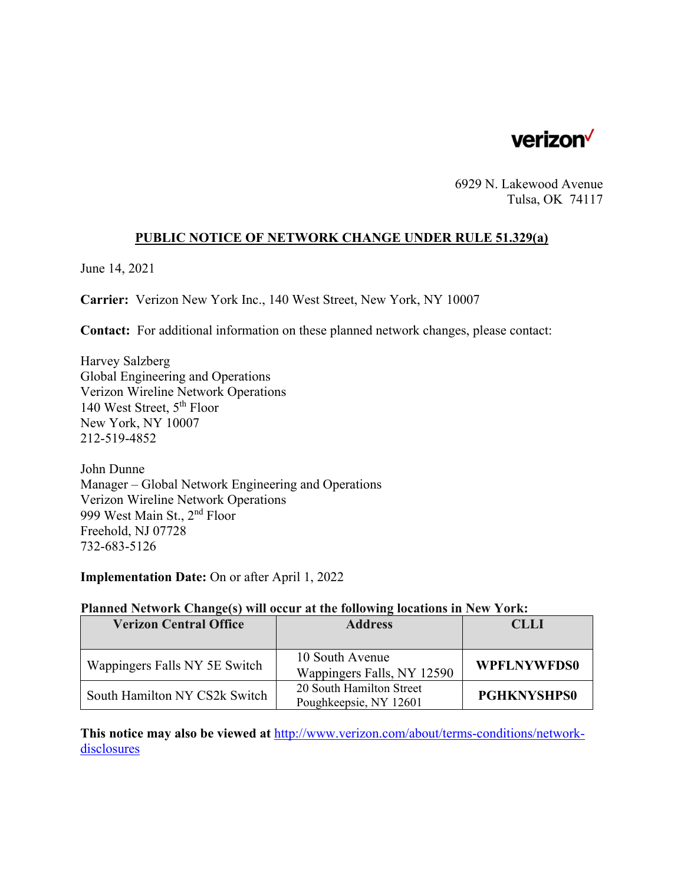

6929 N. Lakewood Avenue Tulsa, OK 74117

### **PUBLIC NOTICE OF NETWORK CHANGE UNDER RULE 51.329(a)**

June 14, 2021

**Carrier:** Verizon New York Inc., 140 West Street, New York, NY 10007

**Contact:** For additional information on these planned network changes, please contact:

Harvey Salzberg Global Engineering and Operations Verizon Wireline Network Operations 140 West Street, 5th Floor New York, NY 10007 212-519-4852

John Dunne Manager – Global Network Engineering and Operations Verizon Wireline Network Operations 999 West Main St., 2nd Floor Freehold, NJ 07728 732-683-5126

**Implementation Date:** On or after April 1, 2022

#### **Planned Network Change(s) will occur at the following locations in New York:**

| <b>Verizon Central Office</b> | <b>Address</b>                                     | <b>CLLI</b>        |
|-------------------------------|----------------------------------------------------|--------------------|
| Wappingers Falls NY 5E Switch | 10 South Avenue<br>Wappingers Falls, NY 12590      | <b>WPFLNYWFDS0</b> |
| South Hamilton NY CS2k Switch | 20 South Hamilton Street<br>Poughkeepsie, NY 12601 | <b>PGHKNYSHPS0</b> |

**This notice may also be viewed at** http://www.verizon.com/about/terms-conditions/networkdisclosures